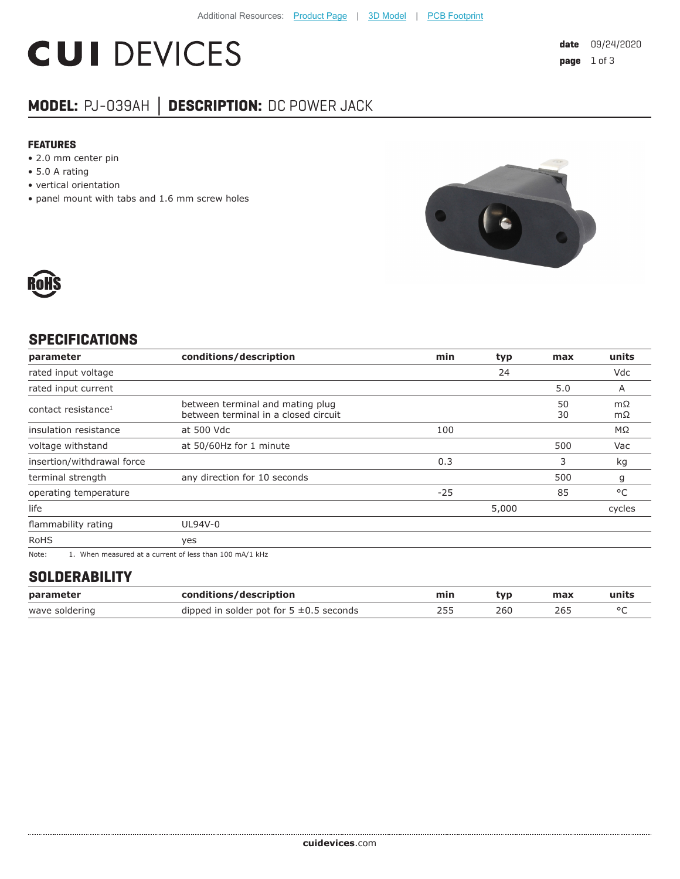# **CUI DEVICES**

### **MODEL:** PJ-039AH **│ DESCRIPTION:** DC POWER JACK

#### **FEATURES**

- 2.0 mm center pin
- 5.0 A rating
- vertical orientation
- panel mount with tabs and 1.6 mm screw holes





#### **SPECIFICATIONS**

| parameter                       | conditions/description                                                                                                                                                                                                              | min   | typ   | max      | units     |
|---------------------------------|-------------------------------------------------------------------------------------------------------------------------------------------------------------------------------------------------------------------------------------|-------|-------|----------|-----------|
| rated input voltage             |                                                                                                                                                                                                                                     |       | 24    |          | Vdc       |
| rated input current             |                                                                                                                                                                                                                                     |       |       | 5.0      | A         |
| contact resistance <sup>1</sup> | between terminal and mating plug<br>between terminal in a closed circuit                                                                                                                                                            |       |       | 50<br>30 | mΩ<br>mΩ  |
| insulation resistance           | at 500 Vdc                                                                                                                                                                                                                          | 100   |       |          | $M\Omega$ |
| voltage withstand               | at 50/60Hz for 1 minute                                                                                                                                                                                                             |       |       | 500      | Vac       |
| insertion/withdrawal force      |                                                                                                                                                                                                                                     | 0.3   |       | 3        | kg        |
| terminal strength               | any direction for 10 seconds                                                                                                                                                                                                        |       |       | 500      | g         |
| operating temperature           |                                                                                                                                                                                                                                     | $-25$ |       | 85       | °C        |
| life                            |                                                                                                                                                                                                                                     |       | 5,000 |          | cycles    |
| flammability rating             | UL94V-0                                                                                                                                                                                                                             |       |       |          |           |
| <b>RoHS</b>                     | yes                                                                                                                                                                                                                                 |       |       |          |           |
| $\mathbf{A}$                    | $\overline{a}$ , and the contract of the contract of the contract of the contract of the contract of the contract of the contract of the contract of the contract of the contract of the contract of the contract of the contract o |       |       |          |           |

Note: 1. When measured at a current of less than 100 mA/1 kHz

#### **SOLDERABILITY**

| parameter      | conditions/description                       | min | tvp | max | units |
|----------------|----------------------------------------------|-----|-----|-----|-------|
| wave soldering | dipped in solder pot for $5 \pm 0.5$ seconds |     | 26C | 265 |       |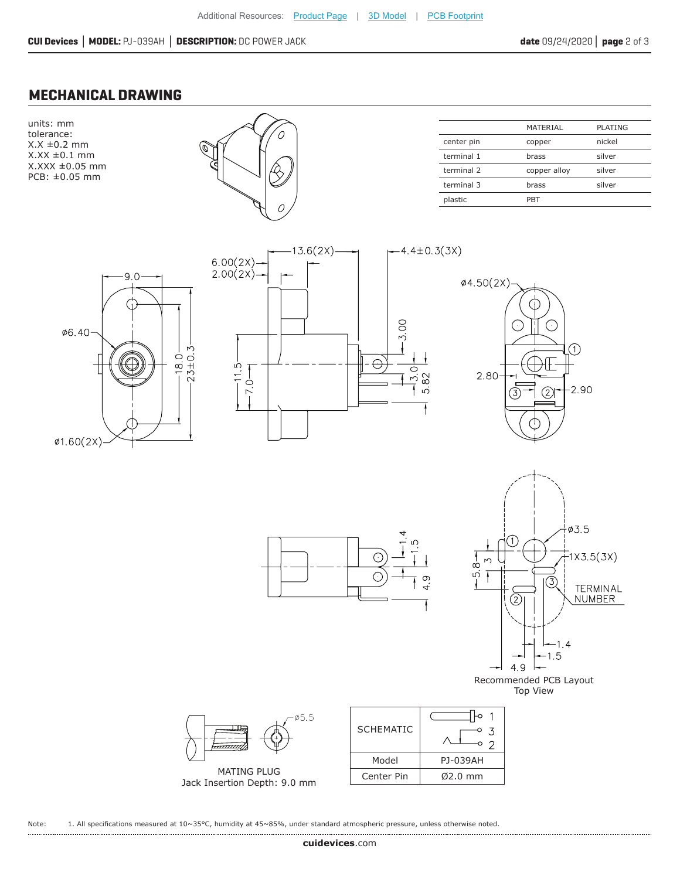#### **MECHANICAL DRAWING**

units: mm tolerance:  $X.X \pm 0.2$  mm  $X.XX \pm 0.1$  mm X.XXX ±0.05 mm PCB: ±0.05 mm



|            | MATERIAL     | PLATING |
|------------|--------------|---------|
| center pin | copper       | nickel  |
| terminal 1 | brass        | silver  |
| terminal 2 | copper alloy | silver  |
| terminal 3 | brass        | silver  |
| plastic    | PBT          |         |









Recommended PCB Layout Top View

| ∙ø5.5                                              | <b>SCHEMATIC</b> |           |
|----------------------------------------------------|------------------|-----------|
|                                                    | Model            | PJ-039AH  |
| <b>MATING PLUG</b><br>Jack Insertion Depth: 9.0 mm | Center Pin       | $Ø2.0$ mm |
|                                                    |                  |           |

 $\infty$ 

C

 $\bigcirc$ 



Note: 1. All specifications measured at 10~35°C, humidity at 45~85%, under standard atmospheric pressure, unless otherwise noted.